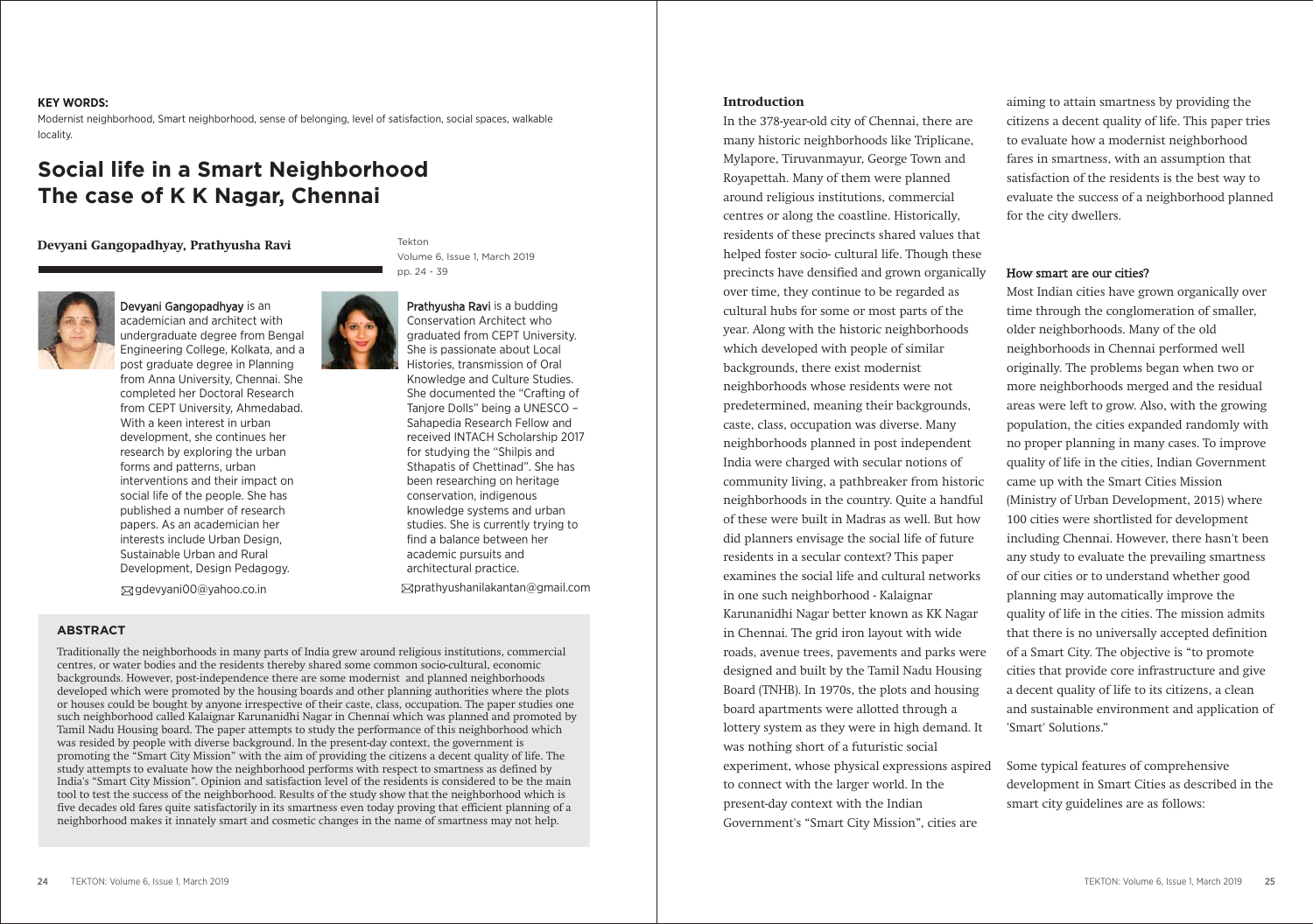### **KEY WORDS:**

Modernist neighborhood, Smart neighborhood, sense of belonging, level of satisfaction, social spaces, walkable locality.

# **Social life in a Smart Neighborhood The case of K K Nagar, Chennai**

**Devyani Gangopadhyay, Prathyusha Ravi**



Devyani Gangopadhyay is an academician and architect with undergraduate degree from Bengal Engineering College, Kolkata, and a post graduate degree in Planning from Anna University, Chennai. She completed her Doctoral Research from CEPT University, Ahmedabad. With a keen interest in urban development, she continues her research by exploring the urban forms and patterns, urban interventions and their impact on social life of the people. She has published a number of research papers. As an academician her interests include Urban Design, Sustainable Urban and Rural Development, Design Pedagogy.

Tekton Volume 6, Issue 1, March 2019 pp. 24 - 39

Prathyusha Ravi is a budding Conservation Architect who graduated from CEPT University. She is passionate about Local Histories, transmission of Oral Knowledge and Culture Studies. She documented the "Crafting of Tanjore Dolls" being a UNESCO – Sahapedia Research Fellow and received INTACH Scholarship 2017 for studying the "Shilpis and Sthapatis of Chettinad". She has been researching on heritage conservation, indigenous knowledge systems and urban studies. She is currently trying to find a balance between her academic pursuits and architectural practice. gdevyani00@yahoo.co.in prathyushanilakantan@gmail.com

# **ABSTRACT**

Traditionally the neighborhoods in many parts of India grew around religious institutions, commercial centres, or water bodies and the residents thereby shared some common socio-cultural, economic backgrounds. However, post-independence there are some modernist and planned neighborhoods developed which were promoted by the housing boards and other planning authorities where the plots or houses could be bought by anyone irrespective of their caste, class, occupation. The paper studies one such neighborhood called Kalaignar Karunanidhi Nagar in Chennai which was planned and promoted by Tamil Nadu Housing board. The paper attempts to study the performance of this neighborhood which was resided by people with diverse background. In the present-day context, the government is promoting the "Smart City Mission" with the aim of providing the citizens a decent quality of life. The study attempts to evaluate how the neighborhood performs with respect to smartness as defined by India's "Smart City Mission". Opinion and satisfaction level of the residents is considered to be the main tool to test the success of the neighborhood. Results of the study show that the neighborhood which is five decades old fares quite satisfactorily in its smartness even today proving that efficient planning of a neighborhood makes it innately smart and cosmetic changes in the name of smartness may not help.

### **Introduction**

In the 378-year-old city of Chennai, there are many historic neighborhoods like Triplicane, Mylapore, Tiruvanmayur, George Town and Royapettah. Many of them were planned around religious institutions, commercial centres or along the coastline. Historically, residents of these precincts shared values that helped foster socio- cultural life. Though these precincts have densified and grown organically over time, they continue to be regarded as cultural hubs for some or most parts of the year. Along with the historic neighborhoods which developed with people of similar backgrounds, there exist modernist neighborhoods whose residents were not predetermined, meaning their backgrounds, caste, class, occupation was diverse. Many neighborhoods planned in post independent India were charged with secular notions of community living, a pathbreaker from historic neighborhoods in the country. Quite a handful of these were built in Madras as well. But how did planners envisage the social life of future residents in a secular context? This paper examines the social life and cultural networks in one such neighborhood - Kalaignar Karunanidhi Nagar better known as KK Nagar in Chennai. The grid iron layout with wide roads, avenue trees, pavements and parks were designed and built by the Tamil Nadu Housing Board (TNHB). In 1970s, the plots and housing board apartments were allotted through a lottery system as they were in high demand. It was nothing short of a futuristic social experiment, whose physical expressions aspired to connect with the larger world. In the present-day context with the Indian Government's "Smart City Mission", cities are

aiming to attain smartness by providing the citizens a decent quality of life. This paper tries to evaluate how a modernist neighborhood fares in smartness, with an assumption that satisfaction of the residents is the best way to evaluate the success of a neighborhood planned for the city dwellers.

### How smart are our cities?

Most Indian cities have grown organically over time through the conglomeration of smaller, older neighborhoods. Many of the old neighborhoods in Chennai performed well originally. The problems began when two or more neighborhoods merged and the residual areas were left to grow. Also, with the growing population, the cities expanded randomly with no proper planning in many cases. To improve quality of life in the cities, Indian Government came up with the Smart Cities Mission (Ministry of Urban Development, 2015) where 100 cities were shortlisted for development including Chennai. However, there hasn't been any study to evaluate the prevailing smartness of our cities or to understand whether good planning may automatically improve the quality of life in the cities. The mission admits that there is no universally accepted definition of a Smart City. The objective is "to promote cities that provide core infrastructure and give a decent quality of life to its citizens, a clean and sustainable environment and application of 'Smart' Solutions."

Some typical features of comprehensive development in Smart Cities as described in the smart city guidelines are as follows: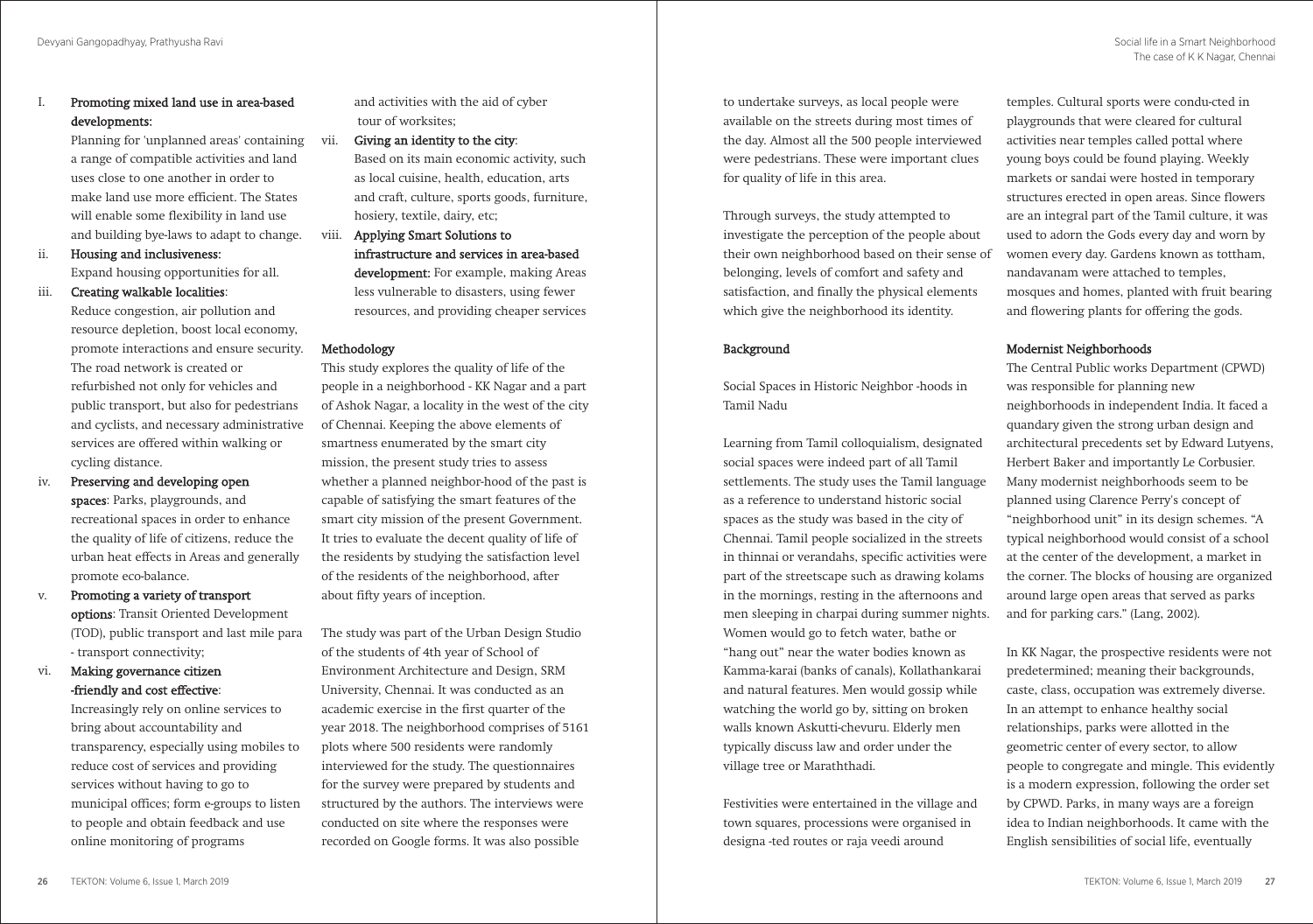# I. Promoting mixed land use in area-based developments:

 Planning for 'unplanned areas' containing a range of compatible activities and land uses close to one another in order to make land use more efficient. The States will enable some flexibility in land use and building bye-laws to adapt to change.

ii. Housing and inclusiveness: Expand housing opportunities for all.

iii. Creating walkable localities:

 Reduce congestion, air pollution and resource depletion, boost local economy, promote interactions and ensure security. The road network is created or refurbished not only for vehicles and public transport, but also for pedestrians and cyclists, and necessary administrative services are offered within walking or cycling distance.

- iv. Preserving and developing open spaces: Parks, playgrounds, and recreational spaces in order to enhance the quality of life of citizens, reduce the urban heat effects in Areas and generally promote eco-balance.
- v. Promoting a variety of transport options: Transit Oriented Development (TOD), public transport and last mile para - transport connectivity;

# vi. Making governance citizen -friendly and cost effective:

 Increasingly rely on online services to bring about accountability and transparency, especially using mobiles to reduce cost of services and providing services without having to go to municipal offices; form e-groups to listen to people and obtain feedback and use online monitoring of programs

 and activities with the aid of cyber tour of worksites;

Giving an identity to the city: Based on its main economic activity, such as local cuisine, health, education, arts

 and craft, culture, sports goods, furniture, hosiery, textile, dairy, etc;

viii. Applying Smart Solutions to infrastructure and services in area-based development: For example, making Areas less vulnerable to disasters, using fewer resources, and providing cheaper services

## Methodology

This study explores the quality of life of the people in a neighborhood - KK Nagar and a part of Ashok Nagar, a locality in the west of the city of Chennai. Keeping the above elements of smartness enumerated by the smart city mission, the present study tries to assess whether a planned neighbor-hood of the past is capable of satisfying the smart features of the smart city mission of the present Government. It tries to evaluate the decent quality of life of the residents by studying the satisfaction level of the residents of the neighborhood, after about fifty years of inception.

The study was part of the Urban Design Studio of the students of 4th year of School of Environment Architecture and Design, SRM University, Chennai. It was conducted as an academic exercise in the first quarter of the year 2018. The neighborhood comprises of 5161 plots where 500 residents were randomly interviewed for the study. The questionnaires for the survey were prepared by students and structured by the authors. The interviews were conducted on site where the responses were recorded on Google forms. It was also possible

to undertake surveys, as local people were available on the streets during most times of the day. Almost all the 500 people interviewed were pedestrians. These were important clues for quality of life in this area.

Through surveys, the study attempted to investigate the perception of the people about their own neighborhood based on their sense of belonging, levels of comfort and safety and satisfaction, and finally the physical elements which give the neighborhood its identity.

# Background

Social Spaces in Historic Neighbor -hoods in Tamil Nadu

Learning from Tamil colloquialism, designated social spaces were indeed part of all Tamil settlements. The study uses the Tamil language as a reference to understand historic social spaces as the study was based in the city of Chennai. Tamil people socialized in the streets in thinnai or verandahs, specific activities were part of the streetscape such as drawing kolams in the mornings, resting in the afternoons and men sleeping in charpai during summer nights. Women would go to fetch water, bathe or "hang out" near the water bodies known as Kamma-karai (banks of canals), Kollathankarai and natural features. Men would gossip while watching the world go by, sitting on broken walls known Askutti-chevuru. Elderly men typically discuss law and order under the village tree or Maraththadi.

Festivities were entertained in the village and town squares, processions were organised in designa -ted routes or raja veedi around

temples. Cultural sports were condu-cted in playgrounds that were cleared for cultural activities near temples called pottal where young boys could be found playing. Weekly markets or sandai were hosted in temporary structures erected in open areas. Since flowers are an integral part of the Tamil culture, it was used to adorn the Gods every day and worn by women every day. Gardens known as tottham, nandavanam were attached to temples, mosques and homes, planted with fruit bearing and flowering plants for offering the gods.

## Modernist Neighborhoods

The Central Public works Department (CPWD) was responsible for planning new neighborhoods in independent India. It faced a quandary given the strong urban design and architectural precedents set by Edward Lutyens, Herbert Baker and importantly Le Corbusier. Many modernist neighborhoods seem to be planned using Clarence Perry's concept of "neighborhood unit" in its design schemes. "A typical neighborhood would consist of a school at the center of the development, a market in the corner. The blocks of housing are organized around large open areas that served as parks and for parking cars." (Lang, 2002).

In KK Nagar, the prospective residents were not predetermined; meaning their backgrounds, caste, class, occupation was extremely diverse. In an attempt to enhance healthy social relationships, parks were allotted in the geometric center of every sector, to allow people to congregate and mingle. This evidently is a modern expression, following the order set by CPWD. Parks, in many ways are a foreign idea to Indian neighborhoods. It came with the English sensibilities of social life, eventually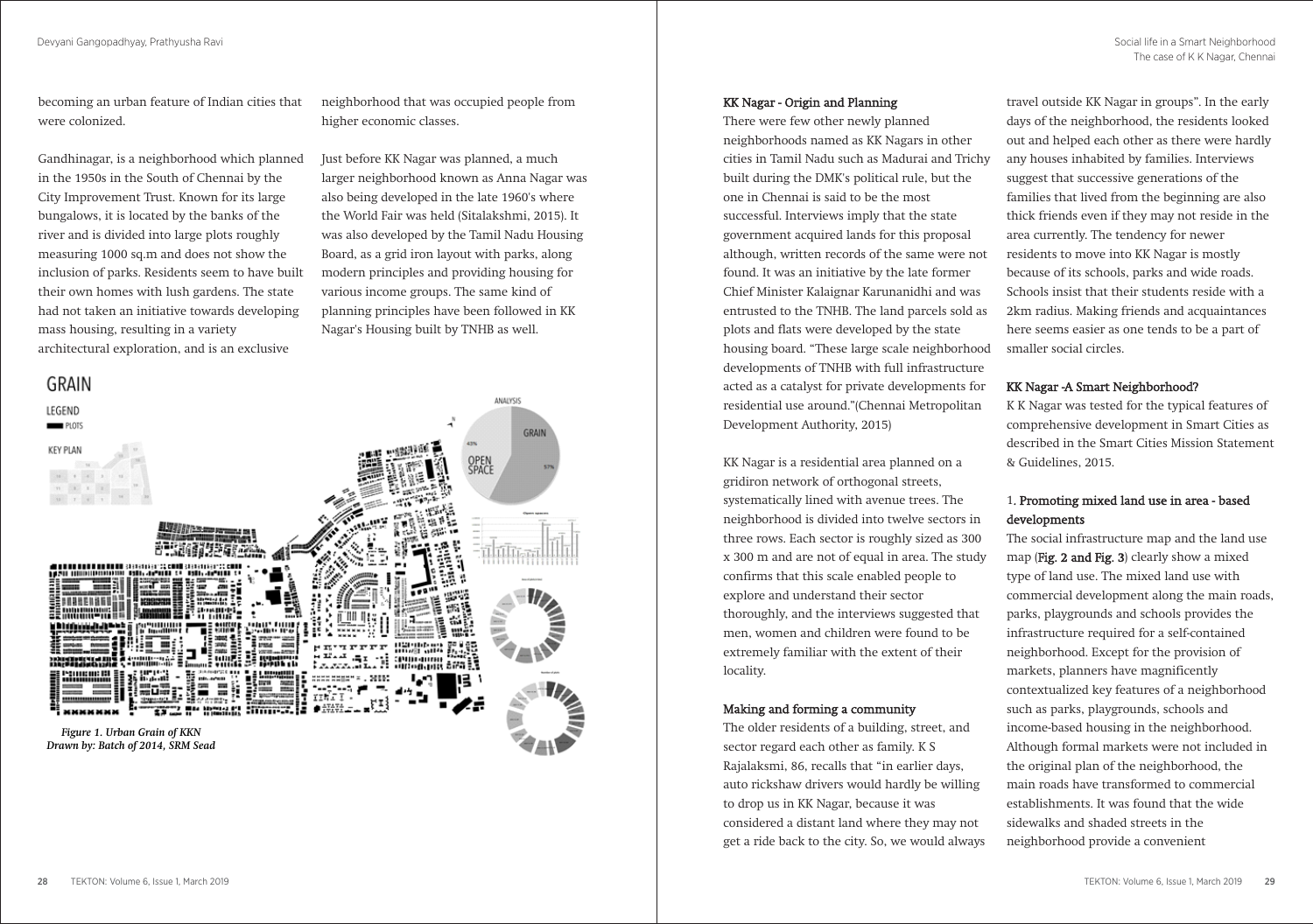becoming an urban feature of Indian cities that were colonized.

Gandhinagar, is a neighborhood which planned in the 1950s in the South of Chennai by the City Improvement Trust. Known for its large bungalows, it is located by the banks of the river and is divided into large plots roughly measuring 1000 sq.m and does not show the inclusion of parks. Residents seem to have built their own homes with lush gardens. The state had not taken an initiative towards developing mass housing, resulting in a variety architectural exploration, and is an exclusive

neighborhood that was occupied people from higher economic classes.

Just before KK Nagar was planned, a much larger neighborhood known as Anna Nagar was also being developed in the late 1960's where the World Fair was held (Sitalakshmi, 2015). It was also developed by the Tamil Nadu Housing Board, as a grid iron layout with parks, along modern principles and providing housing for various income groups. The same kind of planning principles have been followed in KK Nagar's Housing built by TNHB as well.



## KK Nagar - Origin and Planning

There were few other newly planned neighborhoods named as KK Nagars in other cities in Tamil Nadu such as Madurai and Trichy built during the DMK's political rule, but the one in Chennai is said to be the most successful. Interviews imply that the state government acquired lands for this proposal although, written records of the same were not found. It was an initiative by the late former Chief Minister Kalaignar Karunanidhi and was entrusted to the TNHB. The land parcels sold as plots and flats were developed by the state housing board. "These large scale neighborhood developments of TNHB with full infrastructure acted as a catalyst for private developments for residential use around."(Chennai Metropolitan Development Authority, 2015)

KK Nagar is a residential area planned on a gridiron network of orthogonal streets, systematically lined with avenue trees. The neighborhood is divided into twelve sectors in three rows. Each sector is roughly sized as 300 x 300 m and are not of equal in area. The study confirms that this scale enabled people to explore and understand their sector thoroughly, and the interviews suggested that men, women and children were found to be extremely familiar with the extent of their locality.

### Making and forming a community

The older residents of a building, street, and sector regard each other as family. K S Rajalaksmi, 86, recalls that "in earlier days, auto rickshaw drivers would hardly be willing to drop us in KK Nagar, because it was considered a distant land where they may not get a ride back to the city. So, we would always

travel outside KK Nagar in groups". In the early days of the neighborhood, the residents looked out and helped each other as there were hardly any houses inhabited by families. Interviews suggest that successive generations of the families that lived from the beginning are also thick friends even if they may not reside in the area currently. The tendency for newer residents to move into KK Nagar is mostly because of its schools, parks and wide roads. Schools insist that their students reside with a 2km radius. Making friends and acquaintances here seems easier as one tends to be a part of smaller social circles.

# KK Nagar -A Smart Neighborhood?

K K Nagar was tested for the typical features of comprehensive development in Smart Cities as described in the Smart Cities Mission Statement & Guidelines, 2015.

# 1. Promoting mixed land use in area - based developments

The social infrastructure map and the land use map (Fig. 2 and Fig. 3) clearly show a mixed type of land use. The mixed land use with commercial development along the main roads, parks, playgrounds and schools provides the infrastructure required for a self-contained neighborhood. Except for the provision of markets, planners have magnificently contextualized key features of a neighborhood such as parks, playgrounds, schools and income-based housing in the neighborhood. Although formal markets were not included in the original plan of the neighborhood, the main roads have transformed to commercial establishments. It was found that the wide sidewalks and shaded streets in the neighborhood provide a convenient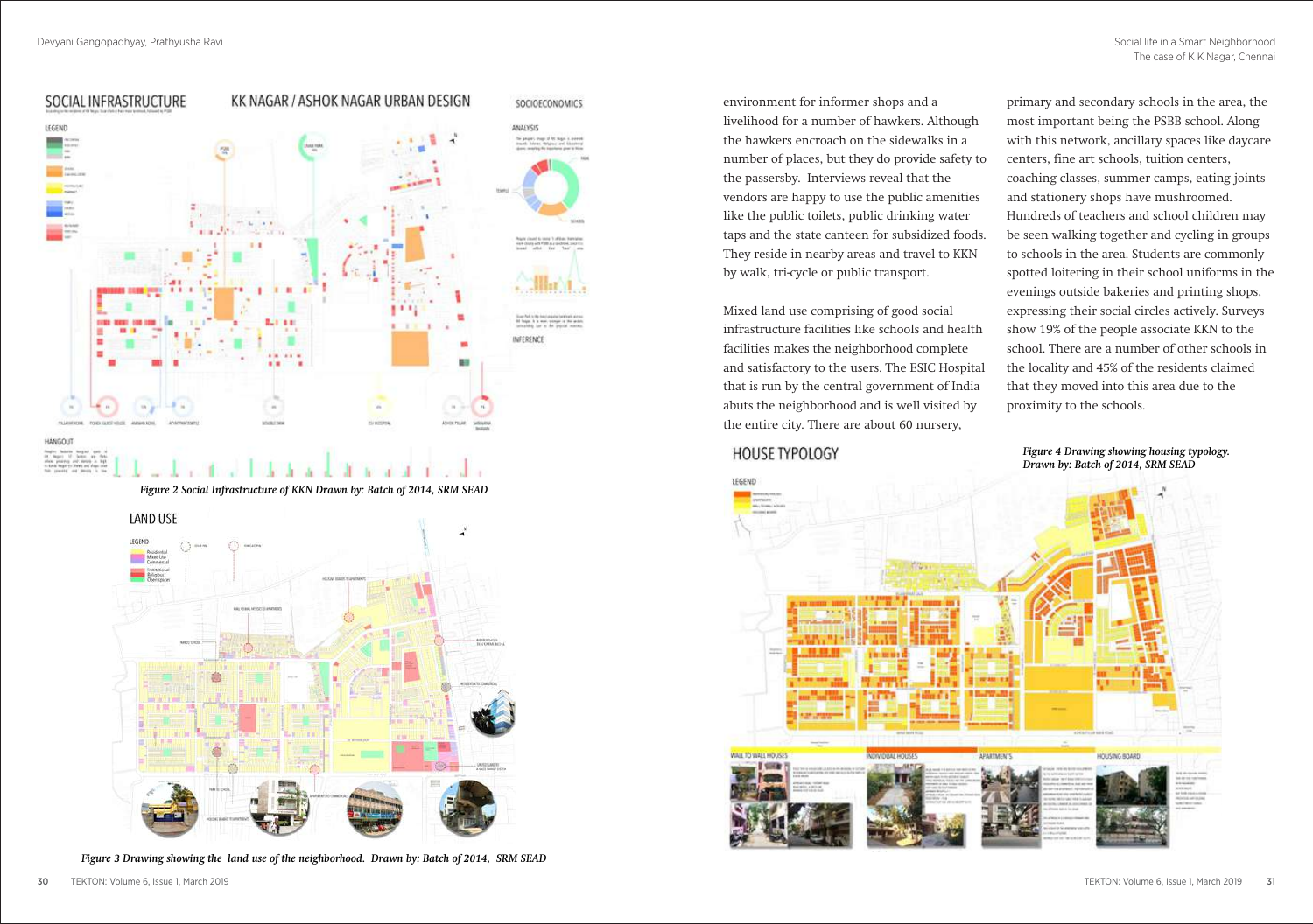

*Figure 3 Drawing showing the land use of the neighborhood. Drawn by: Batch of 2014, SRM SEAD*

environment for informer shops and a livelihood for a number of hawkers. Although the hawkers encroach on the sidewalks in a number of places, but they do provide safety to the passersby. Interviews reveal that the vendors are happy to use the public amenities like the public toilets, public drinking water taps and the state canteen for subsidized foods. They reside in nearby areas and travel to KKN by walk, tri-cycle or public transport.

Mixed land use comprising of good social infrastructure facilities like schools and health facilities makes the neighborhood complete and satisfactory to the users. The ESIC Hospital that is run by the central government of India abuts the neighborhood and is well visited by the entire city. There are about 60 nursery,

# **HOUSE TYPOLOGY**

primary and secondary schools in the area, the most important being the PSBB school. Along with this network, ancillary spaces like daycare centers, fine art schools, tuition centers, coaching classes, summer camps, eating joints and stationery shops have mushroomed. Hundreds of teachers and school children may be seen walking together and cycling in groups to schools in the area. Students are commonly spotted loitering in their school uniforms in the evenings outside bakeries and printing shops, expressing their social circles actively. Surveys show 19% of the people associate KKN to the school. There are a number of other schools in the locality and 45% of the residents claimed that they moved into this area due to the proximity to the schools.

### *Figure 4 Drawing showing housing typology. Drawn by: Batch of 2014, SRM SEAD*

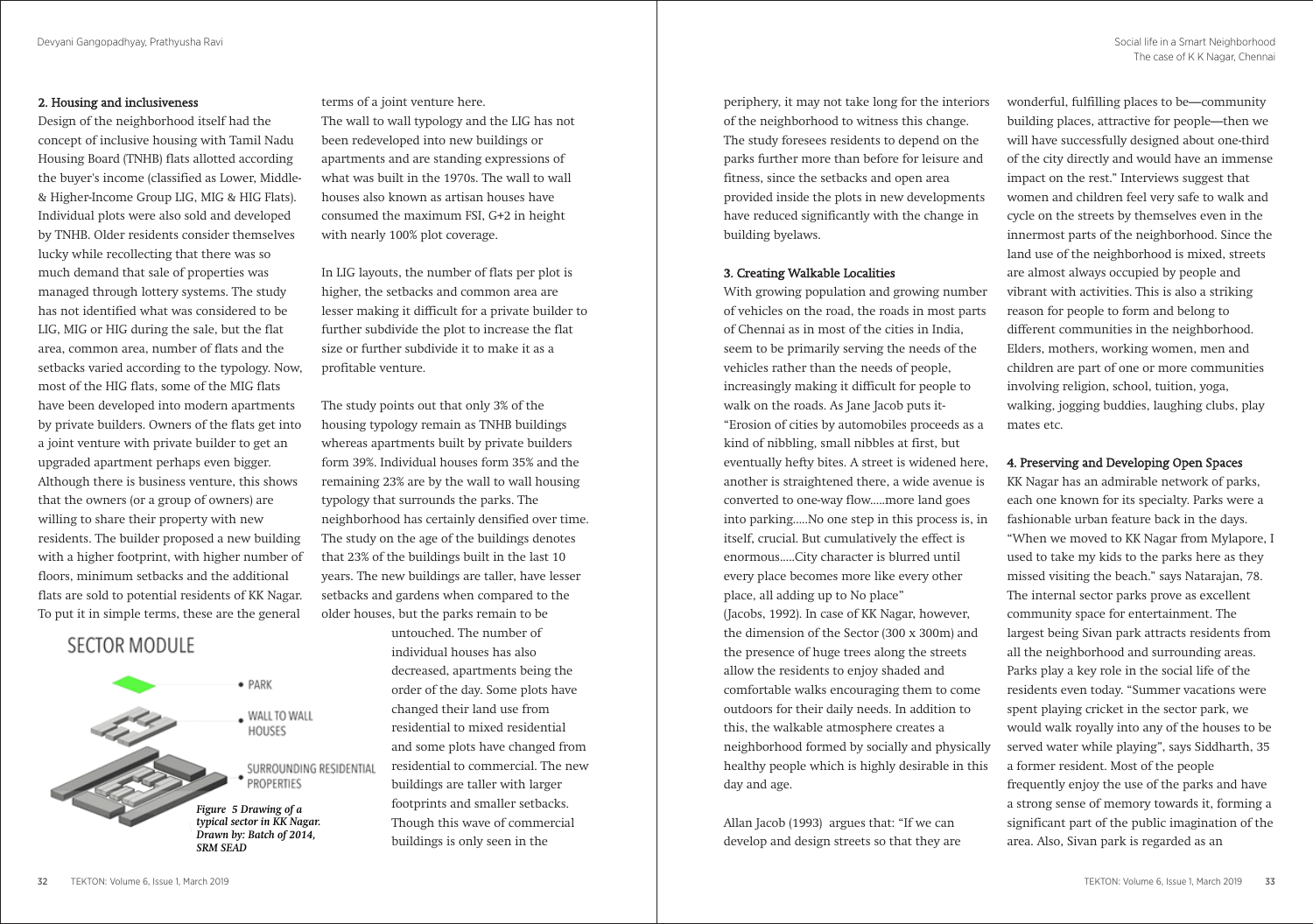### 2. Housing and inclusiveness

Design of the neighborhood itself had the concept of inclusive housing with Tamil Nadu Housing Board (TNHB) flats allotted according the buyer's income (classified as Lower, Middle- & Higher-Income Group LIG, MIG & HIG Flats). Individual plots were also sold and developed by TNHB. Older residents consider themselves lucky while recollecting that there was so much demand that sale of properties was managed through lottery systems. The study has not identified what was considered to be LIG, MIG or HIG during the sale, but the flat area, common area, number of flats and the setbacks varied according to the typology. Now, most of the HIG flats, some of the MIG flats have been developed into modern apartments by private builders. Owners of the flats get into a joint venture with private builder to get an upgraded apartment perhaps even bigger. Although there is business venture, this shows that the owners (or a group of owners) are willing to share their property with new residents. The builder proposed a new building with a higher footprint, with higher number of floors, minimum setbacks and the additional flats are sold to potential residents of KK Nagar. To put it in simple terms, these are the general

# **SECTOR MODULE**



#### terms of a joint venture here.

The wall to wall typology and the LIG has not been redeveloped into new buildings or apartments and are standing expressions of what was built in the 1970s. The wall to wall houses also known as artisan houses have consumed the maximum FSI, G+2 in height with nearly 100% plot coverage.

In LIG layouts, the number of flats per plot is higher, the setbacks and common area are lesser making it difficult for a private builder to further subdivide the plot to increase the flat size or further subdivide it to make it as a profitable venture.

The study points out that only 3% of the housing typology remain as TNHB buildings whereas apartments built by private builders form 39%. Individual houses form 35% and the remaining 23% are by the wall to wall housing typology that surrounds the parks. The neighborhood has certainly densified over time. The study on the age of the buildings denotes that 23% of the buildings built in the last 10 years. The new buildings are taller, have lesser setbacks and gardens when compared to the older houses, but the parks remain to be untouched. The number of individual houses has also decreased, apartments being the order of the day. Some plots have changed their land use from residential to mixed residential and some plots have changed from residential to commercial. The new buildings are taller with larger footprints and smaller setbacks. Though this wave of commercial buildings is only seen in the

periphery, it may not take long for the interiors of the neighborhood to witness this change. The study foresees residents to depend on the parks further more than before for leisure and fitness, since the setbacks and open area provided inside the plots in new developments have reduced significantly with the change in building byelaws.

### 3. Creating Walkable Localities

With growing population and growing number of vehicles on the road, the roads in most parts of Chennai as in most of the cities in India, seem to be primarily serving the needs of the vehicles rather than the needs of people, increasingly making it difficult for people to walk on the roads. As Jane Jacob puts it- "Erosion of cities by automobiles proceeds as a kind of nibbling, small nibbles at first, but eventually hefty bites. A street is widened here, another is straightened there, a wide avenue is converted to one-way flow.....more land goes into parking.....No one step in this process is, in itself, crucial. But cumulatively the effect is enormous.....City character is blurred until every place becomes more like every other place, all adding up to No place" (Jacobs, 1992). In case of KK Nagar, however, the dimension of the Sector (300 x 300m) and the presence of huge trees along the streets allow the residents to enjoy shaded and comfortable walks encouraging them to come outdoors for their daily needs. In addition to this, the walkable atmosphere creates a neighborhood formed by socially and physically healthy people which is highly desirable in this day and age.

Allan Jacob (1993) argues that: "If we can develop and design streets so that they are wonderful, fulfilling places to be—community building places, attractive for people—then we will have successfully designed about one-third of the city directly and would have an immense impact on the rest." Interviews suggest that women and children feel very safe to walk and cycle on the streets by themselves even in the innermost parts of the neighborhood. Since the land use of the neighborhood is mixed, streets are almost always occupied by people and vibrant with activities. This is also a striking reason for people to form and belong to different communities in the neighborhood. Elders, mothers, working women, men and children are part of one or more communities involving religion, school, tuition, yoga, walking, jogging buddies, laughing clubs, play mates etc.

## 4. Preserving and Developing Open Spaces

KK Nagar has an admirable network of parks, each one known for its specialty. Parks were a fashionable urban feature back in the days. "When we moved to KK Nagar from Mylapore, I used to take my kids to the parks here as they missed visiting the beach." says Natarajan, 78. The internal sector parks prove as excellent community space for entertainment. The largest being Sivan park attracts residents from all the neighborhood and surrounding areas. Parks play a key role in the social life of the residents even today. "Summer vacations were spent playing cricket in the sector park, we would walk royally into any of the houses to be served water while playing", says Siddharth, 35 a former resident. Most of the people frequently enjoy the use of the parks and have a strong sense of memory towards it, forming a significant part of the public imagination of the area. Also, Sivan park is regarded as an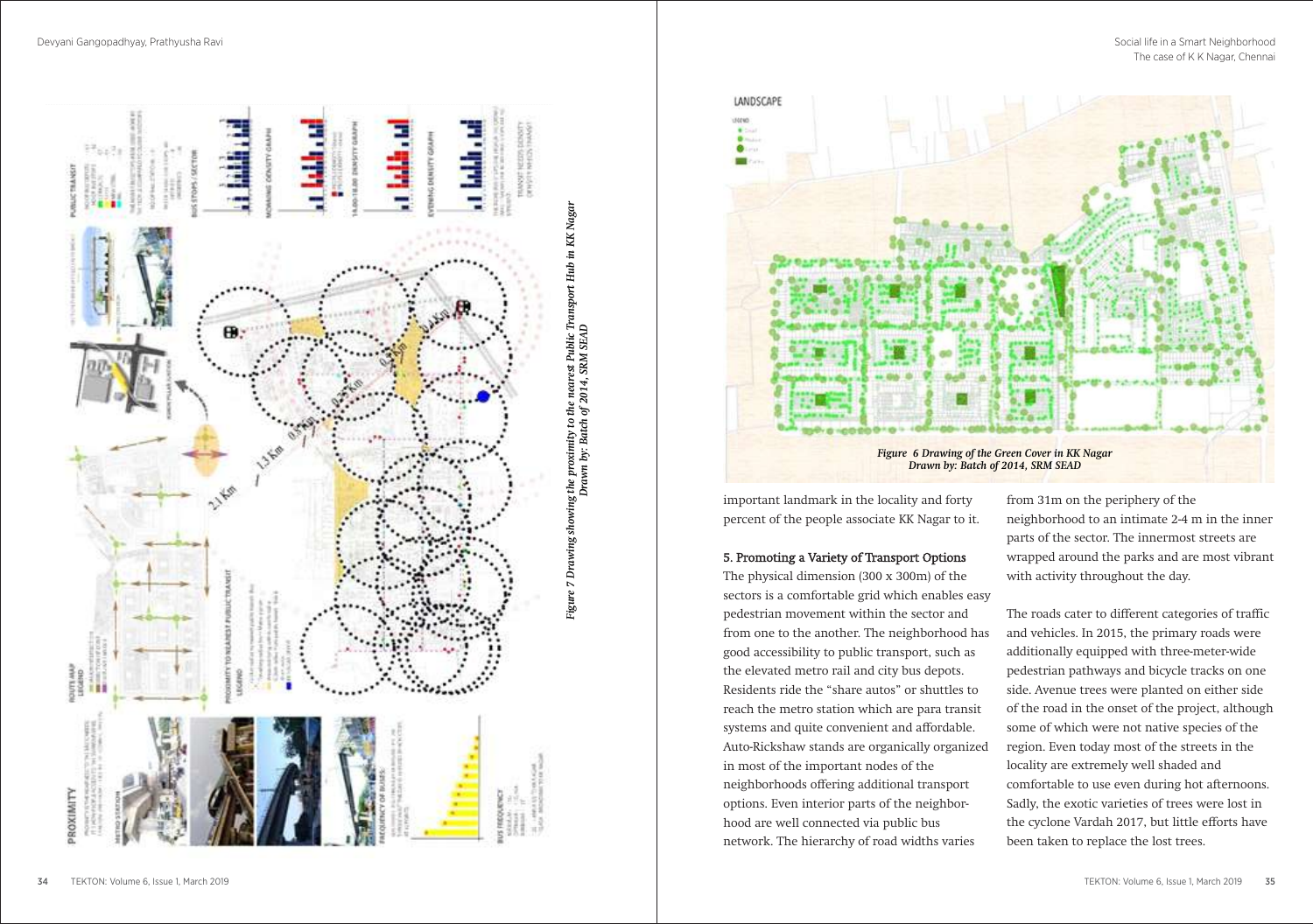



important landmark in the locality and forty percent of the people associate KK Nagar to it.

#### 5. Promoting a Variety of Transport Options

The physical dimension (300 x 300m) of the sectors is a comfortable grid which enables easy pedestrian movement within the sector and from one to the another. The neighborhood has good accessibility to public transport, such as the elevated metro rail and city bus depots. Residents ride the "share autos" or shuttles to reach the metro station which are para transit systems and quite convenient and affordable. Auto-Rickshaw stands are organically organized in most of the important nodes of the neighborhoods offering additional transport options. Even interior parts of the neighborhood are well connected via public bus network. The hierarchy of road widths varies

from 31m on the periphery of the neighborhood to an intimate 2-4 m in the inner parts of the sector. The innermost streets are wrapped around the parks and are most vibrant with activity throughout the day.

The roads cater to different categories of traffic and vehicles. In 2015, the primary roads were additionally equipped with three-meter-wide pedestrian pathways and bicycle tracks on one side. Avenue trees were planted on either side of the road in the onset of the project, although some of which were not native species of the region. Even today most of the streets in the locality are extremely well shaded and comfortable to use even during hot afternoons. Sadly, the exotic varieties of trees were lost in the cyclone Vardah 2017, but little efforts have been taken to replace the lost trees.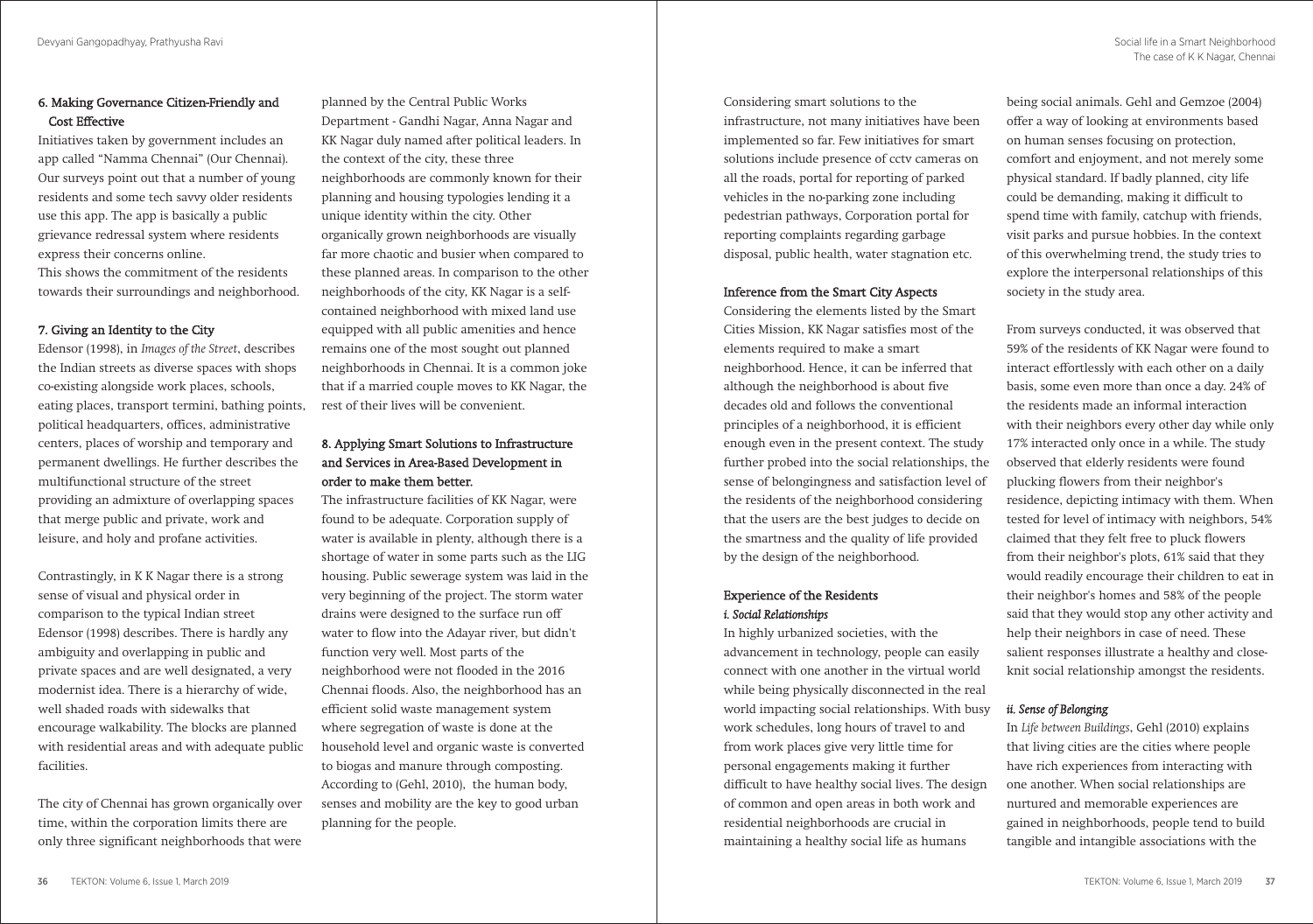# 6. Making Governance Citizen-Friendly and Cost Effective

Initiatives taken by government includes an app called "Namma Chennai" (Our Chennai). Our surveys point out that a number of young residents and some tech savvy older residents use this app. The app is basically a public grievance redressal system where residents express their concerns online.

This shows the commitment of the residents towards their surroundings and neighborhood.

## 7. Giving an Identity to the City

Edensor (1998), in *Images of the Street*, describes the Indian streets as diverse spaces with shops co-existing alongside work places, schools, eating places, transport termini, bathing points, political headquarters, offices, administrative centers, places of worship and temporary and permanent dwellings. He further describes the multifunctional structure of the street providing an admixture of overlapping spaces that merge public and private, work and leisure, and holy and profane activities.

Contrastingly, in K K Nagar there is a strong sense of visual and physical order in comparison to the typical Indian street Edensor (1998) describes. There is hardly any ambiguity and overlapping in public and private spaces and are well designated, a very modernist idea. There is a hierarchy of wide, well shaded roads with sidewalks that encourage walkability. The blocks are planned with residential areas and with adequate public facilities.

The city of Chennai has grown organically over time, within the corporation limits there are only three significant neighborhoods that were planned by the Central Public Works Department - Gandhi Nagar, Anna Nagar and KK Nagar duly named after political leaders. In the context of the city, these three neighborhoods are commonly known for their planning and housing typologies lending it a unique identity within the city. Other organically grown neighborhoods are visually far more chaotic and busier when compared to these planned areas. In comparison to the other neighborhoods of the city, KK Nagar is a selfcontained neighborhood with mixed land use equipped with all public amenities and hence remains one of the most sought out planned neighborhoods in Chennai. It is a common joke that if a married couple moves to KK Nagar, the rest of their lives will be convenient.

# 8. Applying Smart Solutions to Infrastructure and Services in Area-Based Development in order to make them better.

The infrastructure facilities of KK Nagar, were found to be adequate. Corporation supply of water is available in plenty, although there is a shortage of water in some parts such as the LIG housing. Public sewerage system was laid in the very beginning of the project. The storm water drains were designed to the surface run off water to flow into the Adayar river, but didn't function very well. Most parts of the neighborhood were not flooded in the 2016 Chennai floods. Also, the neighborhood has an efficient solid waste management system where segregation of waste is done at the household level and organic waste is converted to biogas and manure through composting. According to (Gehl, 2010), the human body, senses and mobility are the key to good urban planning for the people.

Considering smart solutions to the infrastructure, not many initiatives have been implemented so far. Few initiatives for smart solutions include presence of cctv cameras on all the roads, portal for reporting of parked vehicles in the no-parking zone including pedestrian pathways, Corporation portal for reporting complaints regarding garbage disposal, public health, water stagnation etc.

## Inference from the Smart City Aspects

Considering the elements listed by the Smart Cities Mission, KK Nagar satisfies most of the elements required to make a smart neighborhood. Hence, it can be inferred that although the neighborhood is about five decades old and follows the conventional principles of a neighborhood, it is efficient enough even in the present context. The study further probed into the social relationships, the sense of belongingness and satisfaction level of the residents of the neighborhood considering that the users are the best judges to decide on the smartness and the quality of life provided by the design of the neighborhood.

# Experience of the Residents *i. Social Relationships*

In highly urbanized societies, with the advancement in technology, people can easily connect with one another in the virtual world while being physically disconnected in the real world impacting social relationships. With busy work schedules, long hours of travel to and from work places give very little time for personal engagements making it further difficult to have healthy social lives. The design of common and open areas in both work and residential neighborhoods are crucial in maintaining a healthy social life as humans

being social animals. Gehl and Gemzoe (2004) offer a way of looking at environments based on human senses focusing on protection, comfort and enjoyment, and not merely some physical standard. If badly planned, city life could be demanding, making it difficult to spend time with family, catchup with friends, visit parks and pursue hobbies. In the context of this overwhelming trend, the study tries to explore the interpersonal relationships of this society in the study area.

From surveys conducted, it was observed that 59% of the residents of KK Nagar were found to interact effortlessly with each other on a daily basis, some even more than once a day. 24% of the residents made an informal interaction with their neighbors every other day while only 17% interacted only once in a while. The study observed that elderly residents were found plucking flowers from their neighbor's residence, depicting intimacy with them. When tested for level of intimacy with neighbors, 54% claimed that they felt free to pluck flowers from their neighbor's plots, 61% said that they would readily encourage their children to eat in their neighbor's homes and 58% of the people said that they would stop any other activity and help their neighbors in case of need. These salient responses illustrate a healthy and closeknit social relationship amongst the residents.

# *ii. Sense of Belonging*

In *Life between Buildings*, Gehl (2010) explains that living cities are the cities where people have rich experiences from interacting with one another. When social relationships are nurtured and memorable experiences are gained in neighborhoods, people tend to build tangible and intangible associations with the